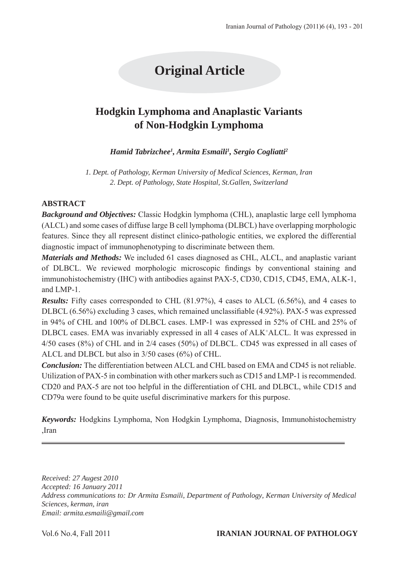# **Original Article**

# **Hodgkin Lymphoma and Anaplastic Variants of Non-Hodgkin Lymphoma**

*Hamid Tabrizchee1 , Armita Esmaili1 , Sergio Cogliatti2*

*1. Dept. of Pathology, Kerman University of Medical Sciences, Kerman, Iran 2. Dept. of Pathology, State Hospital, St.Gallen, Switzerland* 

#### **ABSTRACT**

*Background and Objectives:* Classic Hodgkin lymphoma (CHL), anaplastic large cell lymphoma (ALCL) and some cases of diffuse large B cell lymphoma (DLBCL) have overlapping morphologic features. Since they all represent distinct clinico-pathologic entities, we explored the differential diagnostic impact of immunophenotyping to discriminate between them.

*Materials and Methods:* We included 61 cases diagnosed as CHL, ALCL, and anaplastic variant of DLBCL. We reviewed morphologic microscopic findings by conventional staining and immunohistochemistry (IHC) with antibodies against PAX-5, CD30, CD15, CD45, EMA, ALK-1, and LMP-1.

*Results:* Fifty cases corresponded to CHL (81.97%), 4 cases to ALCL (6.56%), and 4 cases to DLBCL (6.56%) excluding 3 cases, which remained unclassifiable (4.92%). PAX-5 was expressed in 94% of CHL and 100% of DLBCL cases. LMP-1 was expressed in 52% of CHL and 25% of DLBCL cases. EMA was invariably expressed in all 4 cases of ALK+ ALCL. It was expressed in 4/50 cases (8%) of CHL and in 2/4 cases (50%) of DLBCL. CD45 was expressed in all cases of ALCL and DLBCL but also in 3/50 cases (6%) of CHL.

*Conclusion:* The differentiation between ALCL and CHL based on EMA and CD45 is not reliable. Utilization of PAX-5 in combination with other markers such as CD15 and LMP-1 is recommended. CD20 and PAX-5 are not too helpful in the differentiation of CHL and DLBCL, while CD15 and CD79a were found to be quite useful discriminative markers for this purpose.

*Keywords:* Hodgkins Lymphoma, Non Hodgkin Lymphoma, Diagnosis, Immunohistochemistry ,Iran

*Received: 27 Augest 2010 Accepted: 16 January 2011 Address communications to: Dr Armita Esmaili, Department of Pathology, Kerman University of Medical Sciences, kerman, iran Email: armita.esmaili@gmail.com*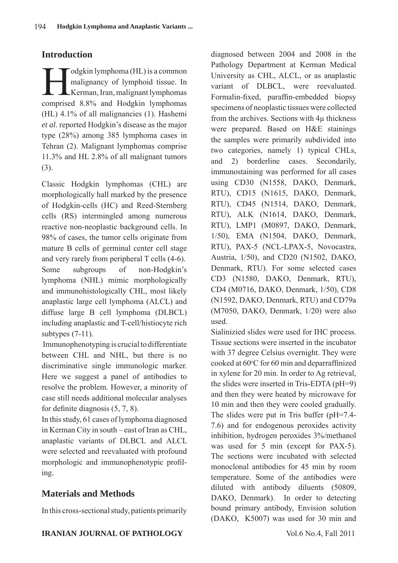# **Introduction**

I odgkin lymphoma (HL) is a common<br>malignancy of lymphoid tissue. In<br>Kerman, Iran, malignant lymphomas malignancy of lymphoid tissue. In Kerman, Iran, malignant lymphomas comprised 8.8% and Hodgkin lymphomas (HL) 4.1% of all malignancies (1). Hashemi *et al.* reported Hodgkin's disease as the major type (28%) among 385 lymphoma cases in Tehran (2). Malignant lymphomas comprise 11.3% and HL 2.8% of all malignant tumors (3).

Classic Hodgkin lymphomas (CHL) are morphologically hall marked by the presence of Hodgkin-cells (HC) and Reed-Sternberg cells (RS) intermingled among numerous reactive non-neoplastic background cells. In 98% of cases, the tumor cells originate from mature B cells of germinal center cell stage and very rarely from peripheral T cells (4-6). Some subgroups of non-Hodgkin's lymphoma (NHL) mimic morphologically and immunohistologically CHL, most likely anaplastic large cell lymphoma (ALCL) and diffuse large B cell lymphoma (DLBCL) including anaplastic and T-cell/histiocyte rich subtypes (7-11).

 Immunophenotyping is crucial to differentiate between CHL and NHL, but there is no discriminative single immunologic marker. Here we suggest a panel of antibodies to resolve the problem. However, a minority of case still needs additional molecular analyses for definite diagnosis (5, 7, 8).

In this study, 61 cases of lymphoma diagnosed in Kerman City in south – east of Iran as CHL, anaplastic variants of DLBCL and ALCL were selected and reevaluated with profound morphologic and immunophenotypic profiling.

# **Materials and Methods**

In this cross-sectional study, patients primarily

diagnosed between 2004 and 2008 in the Pathology Department at Kerman Medical University as CHL, ALCL, or as anaplastic variant of DLBCL, were reevaluated. Formalin-fixed, paraffin-embedded biopsy specimens of neoplastic tissues were collected from the archives. Sections with 4μ thickness were prepared. Based on H&E stainings the samples were primarily subdivided into two categories, namely 1) typical CHLs, and 2) borderline cases. Secondarily, immunostaining was performed for all cases using CD30 (N1558, DAKO, Denmark, RTU), CD15 (N1615, DAKO, Denmark, RTU), CD45 (N1514, DAKO, Denmark, RTU), ALK (N1614, DAKO, Denmark, RTU), LMP1 (M0897, DAKO, Denmark, 1/50), EMA (N1504, DAKO, Denmark, RTU), PAX-5 (NCL-LPAX-5, Novocastra, Austria, 1/50), and CD20 (N1502, DAKO, Denmark, RTU). For some selected cases CD3 (N1580, DAKO, Denmark, RTU), CD4 (M0716, DAKO, Denmark, 1/50), CD8 (N1592, DAKO, Denmark, RTU) and CD79a (M7050, DAKO, Denmark, 1/20) were also used.

Sialinizied slides were used for IHC process. Tissue sections were inserted in the incubator with 37 degree Celsius overnight. They were cooked at 60°C for 60 min and deparraffinized in xylene for 20 min. In order to Ag retrieval, the slides were inserted in Tris-EDTA (pH=9) and then they were heated by microwave for 10 min and then they were cooled gradually. The slides were put in Tris buffer (pH=7.4- 7.6) and for endogenous peroxides activity inhibition, hydrogen peroxides 3%/methanol was used for 5 min (except for PAX-5). The sections were incubated with selected monoclonal antibodies for 45 min by room temperature. Some of the antibodies were diluted with antibody diluents (50809, DAKO, Denmark). In order to detecting bound primary antibody, Envision solution (DAKO, K5007) was used for 30 min and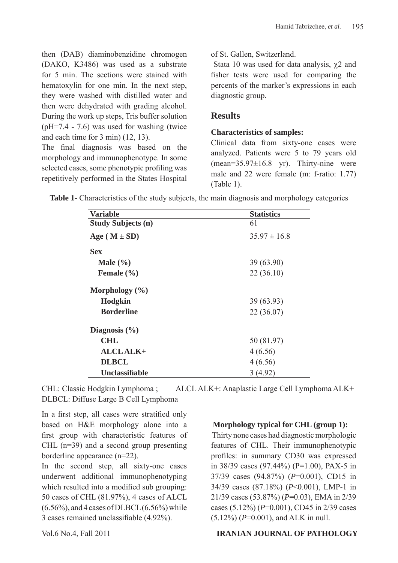then (DAB) diaminobenzidine chromogen (DAKO, K3486) was used as a substrate for 5 min. The sections were stained with hematoxylin for one min. In the next step, they were washed with distilled water and then were dehydrated with grading alcohol. During the work up steps, Tris buffer solution (pH=7.4 - 7.6) was used for washing (twice and each time for 3 min) (12, 13).

The final diagnosis was based on the morphology and immunophenotype. In some selected cases, some phenotypic profiling was repetitively performed in the States Hospital

of St. Gallen, Switzerland.

Stata 10 was used for data analysis,  $\chi$ 2 and fisher tests were used for comparing the percents of the marker's expressions in each diagnostic group.

### **Results**

#### **Characteristics of samples:**

Clinical data from sixty-one cases were analyzed. Patients were 5 to 79 years old (mean=35.97±16.8 yr). Thirty-nine were male and 22 were female (m: f-ratio: 1.77) (Table 1).

**Table 1-** Characteristics of the study subjects, the main diagnosis and morphology categories

| <b>Variable</b>           | <b>Statistics</b> |
|---------------------------|-------------------|
| <b>Study Subjects (n)</b> | 61                |
| Age ( $M \pm SD$ )        | $35.97 \pm 16.8$  |
| <b>Sex</b>                |                   |
| Male $(\% )$              | 39(63.90)         |
| Female $(\% )$            | 22(36.10)         |
| Morphology $(\% )$        |                   |
| Hodgkin                   | 39(63.93)         |
| <b>Borderline</b>         | 22(36.07)         |
| Diagnosis $(\% )$         |                   |
| <b>CHL</b>                | 50 (81.97)        |
| <b>ALCLALK+</b>           | 4(6.56)           |
| <b>DLBCL</b>              | 4(6.56)           |
| <b>Unclassifiable</b>     | 3 (4.92)          |

CHL: Classic Hodgkin Lymphoma ; ALCL ALK+: Anaplastic Large Cell Lymphoma ALK+ DLBCL: Diffuse Large B Cell Lymphoma

In a first step, all cases were stratified only based on H&E morphology alone into a first group with characteristic features of CHL (n=39) and a second group presenting borderline appearance (n=22).

In the second step, all sixty-one cases underwent additional immunophenotyping which resulted into a modified sub grouping: 50 cases of CHL (81.97%), 4 cases of ALCL  $(6.56\%)$ , and 4 cases of DLBCL  $(6.56\%)$  while 3 cases remained unclassifiable (4.92%).

#### **Morphology typical for CHL (group 1):**

 Thirty none cases had diagnostic morphologic features of CHL. Their immunophenotypic profiles: in summary CD30 was expressed in 38/39 cases (97.44%) (P=1.00), PAX-5 in 37/39 cases (94.87%) (*P*=0.001), CD15 in 34/39 cases (87.18%) (*P*<0.001), LMP-1 in 21/39 cases (53.87%) (*P*=0.03), EMA in 2/39 cases (5.12%) (*P*=0.001), CD45 in 2/39 cases (5.12%) (*P*=0.001), and ALK in null.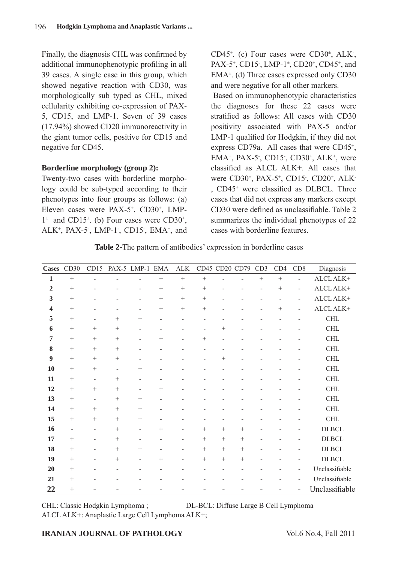Finally, the diagnosis CHL was confirmed by additional immunophenotypic profiling in all 39 cases. A single case in this group, which showed negative reaction with CD30, was morphologically sub typed as CHL, mixed cellularity exhibiting co-expression of PAX-5, CD15, and LMP-1. Seven of 39 cases (17.94%) showed CD20 immunoreactivity in the giant tumor cells, positive for CD15 and negative for CD45.

#### **Borderline morphology (group 2):**

Twenty-two cases with borderline morphology could be sub-typed according to their phenotypes into four groups as follows: (a) Eleven cases were PAX-5<sup>+</sup>, CD30<sup>+</sup>, LMP- $1^{\pm}$  and CD15<sup> $\pm$ </sup>. (b) Four cases were CD30<sup>+</sup>, ALK<sup>+</sup>, PAX-5<sup>-</sup>, LMP-1<sup>-</sup>, CD15<sup>-</sup>, EMA<sup>+</sup>, and CD45<sup>+</sup>. (c) Four cases were CD30<sup>±</sup>, ALK<sup>-</sup>, PAX-5<sup>+</sup>, CD15<sup>-</sup>, LMP-1<sup>±</sup>, CD20<sup>+</sup>, CD45<sup>+</sup>, and EMA± . (d) Three cases expressed only CD30 and were negative for all other markers.

 Based on immunophenotypic characteristics the diagnoses for these 22 cases were stratified as follows: All cases with CD30 positivity associated with PAX-5 and/or LMP-1 qualified for Hodgkin, if they did not express CD79a. All cases that were CD45<sup>+</sup>,  $EMA^+$ , PAX-5<sup>-</sup>, CD15<sup>-</sup>, CD30<sup>+</sup>, ALK<sup>+</sup>, were classified as ALCL ALK+. All cases that were CD30<sup>±</sup>, PAX-5<sup>+</sup>, CD15<sup>-</sup>, CD20<sup>+</sup>, ALK<sup>-</sup> , CD45+ were classified as DLBCL. Three cases that did not express any markers except CD30 were defined as unclassifiable. Table 2 summarizes the individual phenotypes of 22 cases with borderline features.

**Table 2-**The pattern of antibodies' expression in borderline cases

| <b>Cases</b>     | CD30                     | CD15                         |                          | PAX-5 LMP-1              | <b>EMA</b>               | ${\rm ALK}$              |        |                 | CD45 CD20 CD79 | CD3                      | CD4    | CD8                      | Diagnosis      |
|------------------|--------------------------|------------------------------|--------------------------|--------------------------|--------------------------|--------------------------|--------|-----------------|----------------|--------------------------|--------|--------------------------|----------------|
| $\mathbf{1}$     | $+$                      | $\overline{\phantom{a}}$     |                          | $\overline{\phantom{0}}$ | $^{+}$                   | $^{+}$                   | $^{+}$ |                 |                | $+$                      | $+$    | $\blacksquare$           | ALCL ALK+      |
| $\overline{2}$   | $\! + \!\!\!\!$          | ۰                            |                          | $\overline{\phantom{a}}$ |                          | $^{+}$                   | $^{+}$ |                 | ۰              | $\overline{\phantom{0}}$ | $^{+}$ | $\overline{\phantom{a}}$ | ALCL ALK+      |
| 3                | $\! + \!\!\!\!$          |                              |                          | $\overline{\phantom{a}}$ | $+$                      | $^{+}$                   | $^{+}$ |                 |                |                          |        | $\overline{\phantom{a}}$ | ALCL ALK+      |
| $\boldsymbol{4}$ | $^{+}$                   |                              | $\overline{a}$           | $\overline{\phantom{0}}$ |                          | $^{+}$                   | $+$    |                 |                |                          | $^{+}$ | $\overline{\phantom{a}}$ | ALCL ALK+      |
| 5                | $+$                      | $\qquad \qquad \blacksquare$ | $\! + \!\!\!\!$          | $\! + \!\!\!\!$          | $\overline{\phantom{a}}$ | ÷                        |        |                 |                |                          |        |                          | <b>CHL</b>     |
| 6                | $\! + \!\!\!\!$          | $^{+}$                       | $^{+}$                   | $\overline{\phantom{a}}$ | $\overline{\phantom{a}}$ | ÷                        |        | $^{+}$          |                |                          |        |                          | CHL            |
| 7                |                          |                              | $^{+}$                   | $\blacksquare$           | $\! + \!\!\!\!$          | $\overline{a}$           | $^{+}$ | $\overline{a}$  |                |                          |        |                          | CHL            |
| ${\bf 8}$        | $+$                      |                              | $^{+}$                   | $\overline{\phantom{a}}$ | $\overline{\phantom{0}}$ |                          |        |                 |                |                          |        |                          | $\rm CHL$      |
| 9                | $^{+}$                   | $^{+}$                       | $+$                      |                          |                          |                          |        | $+$             |                |                          |        |                          | <b>CHL</b>     |
| 10               | $\! + \!\!\!\!$          | $^{+}$                       | $\overline{\phantom{a}}$ | $\! + \!\!\!\!$          | $\overline{\phantom{a}}$ |                          | ÷      | ٠               |                |                          |        |                          | CHL            |
| 11               | $\! + \!\!\!\!$          | $\overline{\phantom{a}}$     | $\! + \!\!\!\!$          | $\overline{\phantom{0}}$ |                          |                          |        |                 |                |                          |        |                          | <b>CHL</b>     |
| 12               | $\! + \!\!\!\!$          | $^{+}$                       | $\! + \!\!\!\!$          | $\overline{\phantom{a}}$ | $\! + \!\!\!\!$          |                          |        |                 |                |                          |        |                          | CHL            |
| 13               | $\! + \!\!\!\!$          | $\overline{\phantom{a}}$     | $^{+}$                   | $\! + \!\!\!\!$          | $\overline{\phantom{0}}$ |                          |        |                 |                |                          |        |                          | $\rm CHL$      |
| 14               | $\! + \!\!\!\!$          |                              | $\! + \!\!\!\!$          | $^{+}$                   |                          |                          |        |                 |                |                          |        |                          | $\rm CHL$      |
| 15               | $\! + \!\!\!\!$          |                              | $^{+}$                   | $^{+}$                   | $\blacksquare$           |                          | ÷      |                 | ۰              |                          |        |                          | <b>CHL</b>     |
| 16               | $\overline{\phantom{a}}$ | $\overline{\phantom{a}}$     | $^{+}$                   | $\overline{\phantom{a}}$ | $^{+}$                   | $\overline{\phantom{0}}$ | $^{+}$ | $+$             | $+$            | ÷                        |        |                          | <b>DLBCL</b>   |
| 17               | $\! + \!\!\!\!$          | $\overline{a}$               | $+$                      |                          | L,                       |                          | $+$    | $+$             | $^{+}$         |                          |        |                          | <b>DLBCL</b>   |
| 18               | $\! + \!\!\!\!$          | $\qquad \qquad -$            | $^{+}$                   | $^{+}$                   | $\overline{\phantom{a}}$ | $\overline{a}$           | $+$    | $+$             | $^{+}$         | $\overline{\phantom{0}}$ |        | $\overline{\phantom{a}}$ | <b>DLBCL</b>   |
| 19               | $\! + \!\!\!\!$          | $\overline{\phantom{a}}$     | $\! + \!\!\!\!$          | $\blacksquare$           | $\! + \!\!\!\!$          | ۰                        | $^{+}$ | $\! + \!\!\!\!$ | $^{+}$         |                          |        |                          | <b>DLBCL</b>   |
| 20               | $\! + \!\!\!\!$          |                              |                          | $\blacksquare$           | ÷                        |                          |        |                 |                |                          |        | $\overline{\phantom{a}}$ | Unclassifiable |
| 21               | $\! + \!\!\!\!$          |                              |                          |                          |                          |                          |        |                 |                |                          |        | $\overline{\phantom{a}}$ | Unclassifiable |
| 22               | $^{+}$                   |                              |                          | ۰                        | ۰                        |                          | -      |                 |                |                          |        | -                        | Unclassifiable |

CHL: Classic Hodgkin Lymphoma ; DL-BCL: Diffuse Large B Cell Lymphoma

ALCL ALK+: Anaplastic Large Cell Lymphoma ALK+;

#### **IRANIAN JOURNAL OF PATHOLOGY** Vol.6 No.4, Fall 2011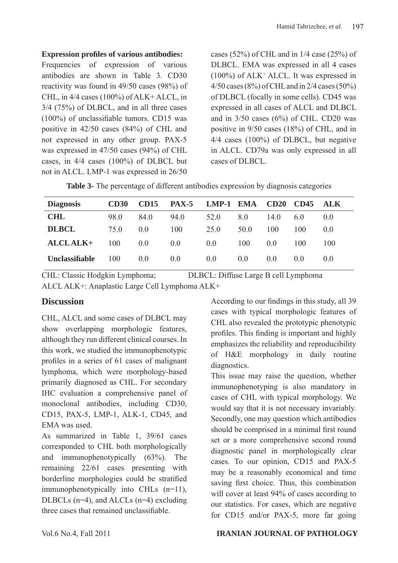#### **Expression profiles of various antibodies:**

Frequencies of expression of various antibodies are shown in Table 3. CD30 reactivity was found in 49/50 cases (98%) of CHL, in 4/4 cases (100%) of ALK+ ALCL, in 3/4 (75%) of DLBCL, and in all three cases (100%) of unclassifiable tumors. CD15 was positive in 42/50 cases (84%) of CHL and not expressed in any other group. PAX-5 was expressed in 47/50 cases (94%) of CHL cases, in 4/4 cases (100%) of DLBCL but not in ALCL. LMP-1 was expressed in 26/50

cases (52%) of CHL and in 1/4 case (25%) of DLBCL. EMA was expressed in all 4 cases (100%) of ALK+ ALCL. It was expressed in 4/50 cases (8%) of CHL and in 2/4 cases (50%) of DLBCL (focally in some cells). CD45 was expressed in all cases of ALCL and DLBCL and in  $3/50$  cases (6%) of CHL. CD20 was positive in 9/50 cases (18%) of CHL, and in 4/4 cases (100%) of DLBCL, but negative in ALCL. CD79a was only expressed in all cases of DLBCL.

| <b>Table 3-</b> The percentage of different antibodies expression by diagnosis categories |  |  |  |
|-------------------------------------------------------------------------------------------|--|--|--|
|-------------------------------------------------------------------------------------------|--|--|--|

| <b>Diagnosis</b>      | <b>CD30</b> | <b>CD15</b>    | <b>PAX-5</b> | <b>LMP-1 EMA</b> |                | CD20           | <b>CD45</b>    | <b>ALK</b>     |
|-----------------------|-------------|----------------|--------------|------------------|----------------|----------------|----------------|----------------|
| <b>CHL</b>            | 98.0        | 84.0           | 94.0         | 52.0             | 80             | 14.0           | 60             | 0 <sub>0</sub> |
| <b>DLBCL</b>          | 75 Q        | 0 <sub>0</sub> | 100          | 25.0             | 50.0           | 100            | 100            | 0 <sub>0</sub> |
| ALCLALK+              | 100         | 0.0            | 0.0          | 0.0              | 100            | 0 <sub>0</sub> | 100            | 100            |
| <b>Unclassifiable</b> | 100         | 0.0            | 0.0          | 0.0              | 0 <sub>0</sub> | 0 <sub>0</sub> | 0 <sub>0</sub> | 0 <sub>0</sub> |

CHL: Classic Hodgkin Lymphoma; DLBCL: Diffuse Large B cell Lymphoma ALCL ALK+: Anaplastic Large Cell Lymphoma ALK+

# **Discussion**

CHL, ALCL and some cases of DLBCL may show overlapping morphologic features, although they run different clinical courses. In this work, we studied the immunophenotypic profiles in a series of 61 cases of malignant lymphoma, which were morphology-based primarily diagnosed as CHL. For secondary IHC evaluation a comprehensive panel of monoclonal antibodies, including CD30, CD15, PAX-5, LMP-1, ALK-1, CD45, and EMA was used.

As summarized in Table 1, 39/61 cases corresponded to CHL both morphologically and immunophenotypically (63%). The remaining 22/61 cases presenting with borderline morphologies could be stratified immunophenotypically into CHLs (n=11), DLBCLs (n=4), and ALCLs (n=4) excluding three cases that remained unclassifiable.

According to our findings in this study, all 39 cases with typical morphologic features of CHL also revealed the prototypic phenotypic profiles. This finding is important and highly emphasizes the reliability and reproducibility of H&E morphology in daily routine diagnostics.

This issue may raise the question, whether immunophenotyping is also mandatory in cases of CHL with typical morphology. We would say that it is not necessary invariably. Secondly, one may question which antibodies should be comprised in a minimal first round set or a more comprehensive second round diagnostic panel in morphologically clear cases. To our opinion, CD15 and PAX-5 may be a reasonably economical and time saving first choice. Thus, this combination will cover at least 94% of cases according to our statistics. For cases, which are negative for CD15 and/or PAX-5, more far going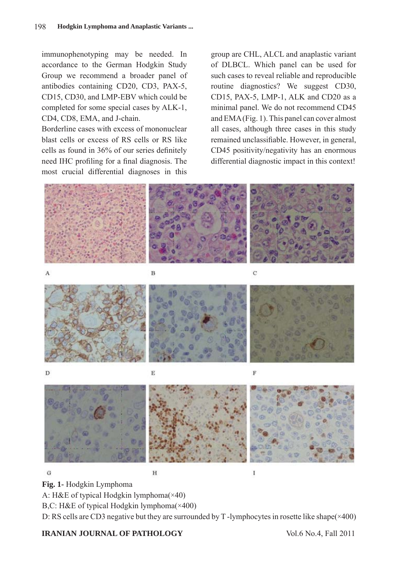immunophenotyping may be needed. In accordance to the German Hodgkin Study Group we recommend a broader panel of antibodies containing CD20, CD3, PAX-5, CD15, CD30, and LMP-EBV which could be completed for some special cases by ALK-1, CD4, CD8, EMA, and J-chain.

Borderline cases with excess of mononuclear blast cells or excess of RS cells or RS like cells as found in 36% of our series definitely need IHC profiling for a final diagnosis. The most crucial differential diagnoses in this group are CHL, ALCL and anaplastic variant of DLBCL. Which panel can be used for such cases to reveal reliable and reproducible routine diagnostics? We suggest CD30, CD15, PAX-5, LMP-1, ALK and CD20 as a minimal panel. We do not recommend CD45 and EMA(Fig. 1). This panel can cover almost all cases, although three cases in this study remained unclassifiable. However, in general, CD45 positivity/negativity has an enormous differential diagnostic impact in this context!



**Fig. 1-** Hodgkin Lymphoma

A: H&E of typical Hodgkin lymphoma(×40)

B,C: H&E of typical Hodgkin lymphoma(×400)

D: RS cells are CD3 negative but they are surrounded by T-lymphocytes in rosette like shape( $\times$ 400)

#### **IRANIAN JOURNAL OF PATHOLOGY** Vol.6 No.4, Fall 2011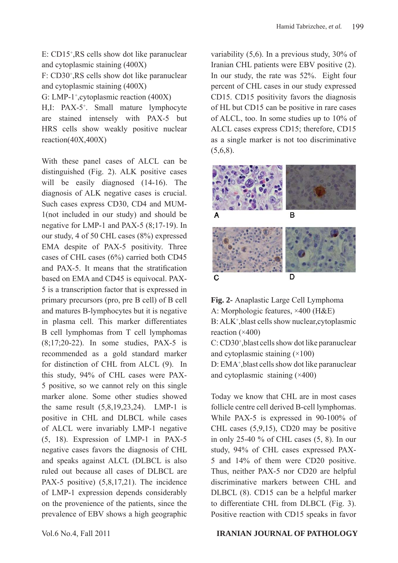E: CD15+ ,RS cells show dot like paranuclear and cytoplasmic staining (400X)

F: CD30+ ,RS cells show dot like paranuclear and cytoplasmic staining (400X)

G: LMP-1<sup>+</sup>,cytoplasmic reaction (400X)

H,I: PAX-5+ . Small mature lymphocyte are stained intensely with PAX-5 but HRS cells show weakly positive nuclear reaction(40X,400X)

With these panel cases of ALCL can be distinguished (Fig. 2). ALK positive cases will be easily diagnosed (14-16). The diagnosis of ALK negative cases is crucial. Such cases express CD30, CD4 and MUM-1(not included in our study) and should be negative for LMP-1 and PAX-5 (8;17-19). In our study, 4 of 50 CHL cases (8%) expressed EMA despite of PAX-5 positivity. Three cases of CHL cases (6%) carried both CD45 and PAX-5. It means that the stratification based on EMA and CD45 is equivocal. PAX-5 is a transcription factor that is expressed in primary precursors (pro, pre B cell) of B cell and matures B-lymphocytes but it is negative in plasma cell. This marker differentiates B cell lymphomas from T cell lymphomas (8;17;20-22). In some studies, PAX-5 is recommended as a gold standard marker for distinction of CHL from ALCL (9). In this study, 94% of CHL cases were PAX-5 positive, so we cannot rely on this single marker alone. Some other studies showed the same result (5,8,19,23,24). LMP-1 is positive in CHL and DLBCL while cases of ALCL were invariably LMP-1 negative (5, 18). Expression of LMP-1 in PAX-5 negative cases favors the diagnosis of CHL and speaks against ALCL (DLBCL is also ruled out because all cases of DLBCL are PAX-5 positive) (5,8,17,21). The incidence of LMP-1 expression depends considerably on the provenience of the patients, since the prevalence of EBV shows a high geographic

variability (5,6). In a previous study, 30% of Iranian CHL patients were EBV positive (2). In our study, the rate was 52%. Eight four percent of CHL cases in our study expressed CD15. CD15 positivity favors the diagnosis of HL but CD15 can be positive in rare cases of ALCL, too. In some studies up to 10% of ALCL cases express CD15; therefore, CD15 as a single marker is not too discriminative  $(5.6.8)$ .





Today we know that CHL are in most cases follicle centre cell derived B-cell lymphomas. While PAX-5 is expressed in 90-100% of CHL cases (5,9,15), CD20 may be positive in only 25-40 % of CHL cases (5, 8). In our study, 94% of CHL cases expressed PAX-5 and 14% of them were CD20 positive. Thus, neither PAX-5 nor CD20 are helpful discriminative markers between CHL and DLBCL (8). CD15 can be a helpful marker to differentiate CHL from DLBCL (Fig. 3). Positive reaction with CD15 speaks in favor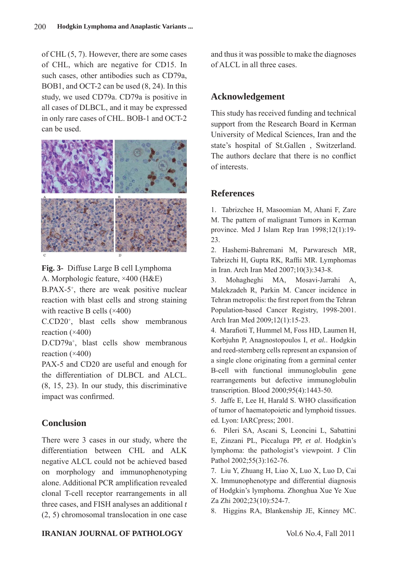of CHL (5, 7). However, there are some cases of CHL, which are negative for CD15. In such cases, other antibodies such as CD79a, BOB1, and OCT-2 can be used (8, 24). In this study, we used CD79a. CD79a is positive in all cases of DLBCL, and it may be expressed in only rare cases of CHL. BOB-1 and OCT-2 can be used.



**Fig. 3-** Diffuse Large B cell Lymphoma A. Morphologic feature, ×400 (H&E)

B.PAX-5+ , there are weak positive nuclear reaction with blast cells and strong staining with reactive B cells (×400)

C.CD20+ , blast cells show membranous reaction (×400)

D.CD79a+ , blast cells show membranous reaction  $(\times 400)$ 

PAX-5 and CD20 are useful and enough for the differentiation of DLBCL and ALCL. (8, 15, 23). In our study, this discriminative impact was confirmed.

# **Conclusion**

There were 3 cases in our study, where the differentiation between CHL and ALK negative ALCL could not be achieved based on morphology and immunophenotyping alone. Additional PCR amplification revealed clonal T-cell receptor rearrangements in all three cases, and FISH analyses an additional *t*  (2, 5) chromosomal translocation in one case and thus it was possible to make the diagnoses of ALCL in all three cases.

# **Acknowledgement**

This study has received funding and technical support from the Research Board in Kerman University of Medical Sciences, Iran and the state's hospital of St.Gallen , Switzerland. The authors declare that there is no conflict of interests.

# **References**

1. Tabrizchee H, Masoomian M, Ahani F, Zare M. The pattern of malignant Tumors in Kerman province. Med J Islam Rep Iran 1998;12(1):19- 23.

2. Hashemi-Bahremani M, Parwaresch MR, Tabrizchi H, Gupta RK, Raffii MR. Lymphomas in Iran. Arch Iran Med 2007;10(3):343-8.

3. Mohagheghi MA, Mosavi-Jarrahi A, Malekzadeh R, Parkin M. Cancer incidence in Tehran metropolis: the first report from the Tehran Population-based Cancer Registry, 1998-2001. Arch Iran Med 2009;12(1):15-23.

4. Marafioti T, Hummel M, Foss HD, Laumen H, Korbjuhn P, Anagnostopoulos I, *et al.*. Hodgkin and reed-sternberg cells represent an expansion of a single clone originating from a germinal center B-cell with functional immunoglobulin gene rearrangements but defective immunoglobulin transcription. Blood 2000;95(4):1443-50.

5. Jaffe E, Lee H, Harald S. WHO classification of tumor of haematopoietic and lymphoid tissues. ed. Lyon: IARCpress; 2001.

6. Pileri SA, Ascani S, Leoncini L, Sabattini E, Zinzani PL, Piccaluga PP, *et al*. Hodgkin's lymphoma: the pathologist's viewpoint. J Clin Pathol 2002;55(3):162-76.

7. Liu Y, Zhuang H, Liao X, Luo X, Luo D, Cai X. Immunophenotype and differential diagnosis of Hodgkin's lymphoma. Zhonghua Xue Ye Xue Za Zhi 2002;23(10):524-7.

8. Higgins RA, Blankenship JE, Kinney MC.

#### **IRANIAN JOURNAL OF PATHOLOGY** Vol.6 No.4, Fall 2011